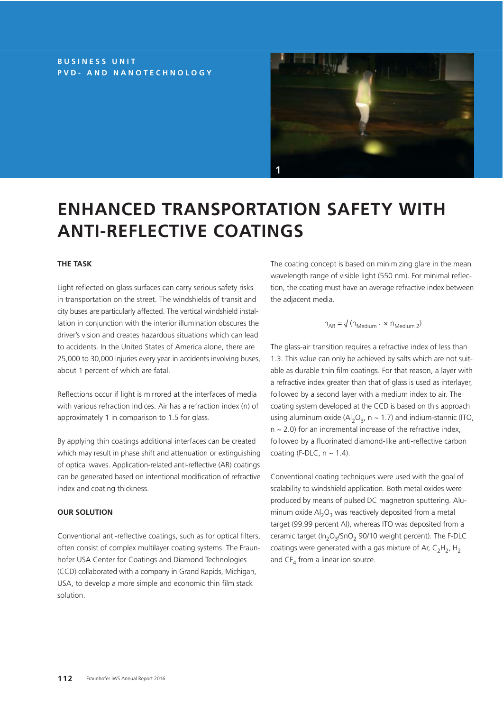## **BUSINESS UNIT PVD- AND NANOTECHNOLOGY**



# **ENHANCED TRANSPORTATION SAFETY WITH ANTI-REFLECTIVE COATINGS**

## **THE TASK**

Light reflected on glass surfaces can carry serious safety risks in transportation on the street. The windshields of transit and city buses are particularly affected. The vertical windshield installation in conjunction with the interior illumination obscures the driver's vision and creates hazardous situations which can lead to accidents. In the United States of America alone, there are 25,000 to 30,000 injuries every year in accidents involving buses, about 1 percent of which are fatal.

Reflections occur if light is mirrored at the interfaces of media with various refraction indices. Air has a refraction index (n) of approximately 1 in comparison to 1.5 for glass.

By applying thin coatings additional interfaces can be created which may result in phase shift and attenuation or extinguishing of optical waves. Application-related anti-reflective (AR) coatings can be generated based on intentional modification of refractive index and coating thickness.

#### **OUR SOLUTION**

Conventional anti-reflective coatings, such as for optical filters, often consist of complex multilayer coating systems. The Fraunhofer USA Center for Coatings and Diamond Technologies (CCD) collaborated with a company in Grand Rapids, Michigan, USA, to develop a more simple and economic thin film stack solution.

The coating concept is based on minimizing glare in the mean wavelength range of visible light (550 nm). For minimal reflection, the coating must have an average refractive index between the adjacent media.

## $n_{AR} = \sqrt{(n_{Medium 1} \times n_{Medium 2})}$

The glass-air transition requires a refractive index of less than 1.3. This value can only be achieved by salts which are not suitable as durable thin film coatings. For that reason, a layer with a refractive index greater than that of glass is used as interlayer, followed by a second layer with a medium index to air. The coating system developed at the CCD is based on this approach using aluminum oxide (Al<sub>2</sub>O<sub>3</sub>, n ~ 1.7) and indium-stannic (ITO,  $n \sim 2.0$ ) for an incremental increase of the refractive index, followed by a fluorinated diamond-like anti-reflective carbon coating (F-DLC,  $n \sim 1.4$ ).

Conventional coating techniques were used with the goal of scalability to windshield application. Both metal oxides were produced by means of pulsed DC magnetron sputtering. Aluminum oxide  $Al_2O_3$  was reactively deposited from a metal target (99.99 percent Al), whereas ITO was deposited from a ceramic target ( $In_2O_3/SnO_2$  90/10 weight percent). The F-DLC coatings were generated with a gas mixture of Ar,  $C_2H_2$ , H<sub>2</sub> and  $CF<sub>4</sub>$  from a linear ion source.